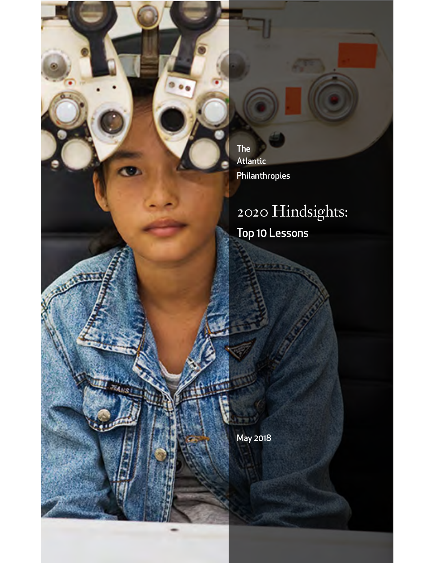The Atlantic Philanthropies

# 2020 Hindsights: Top 10 Lessons

May 2018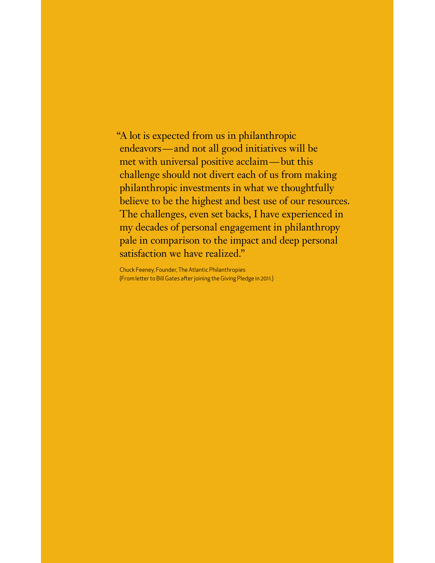"A lot is expected from us in philanthropic endeavors—and not all good initiatives will be met with universal positive acclaim—but this challenge should not divert each of us from making philanthropic investments in what we thoughtfully believe to be the highest and best use of our resources. The challenges, even set backs, I have experienced in my decades of personal engagement in philanthropy pale in comparison to the impact and deep personal satisfaction we have realized."

Chuck Feeney, Founder, The Atlantic Philanthropies (From leter to Bill Gates afer joining the Giving Pledge in 2011.)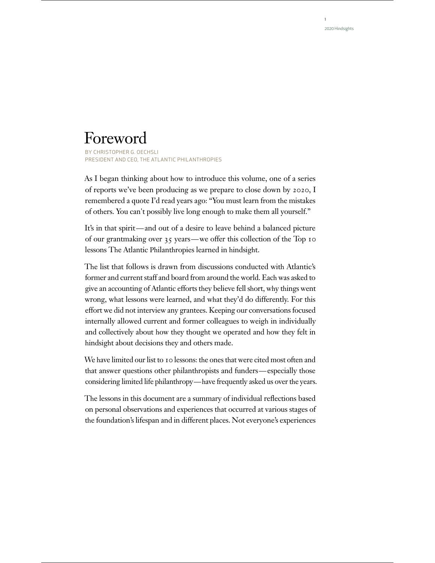1

## Foreword

BY CHRISTOPHER G. OECHSLI PRESIDENT AND CEO, THE ATL ANTIC PHIL ANTHROPIES

As I began thinking about how to introduce this volume, one of a series of reports we've been producing as we prepare to close down by 2020, I remembered a quote I'd read years ago: "You must learn from the mistakes of others. You can't possibly live long enough to make them all yourself."

It's in that spirit—and out of a desire to leave behind a balanced picture of our grantmaking over 35 years—we offer this collection of the Top 10 lessons The Atlantic Philanthropies learned in hindsight.

The list that follows is drawn from discussions conducted with Atlantic's former and current staff and board from around the world. Each was asked to give an accounting of Atlantic efforts they believe fell short, why things went wrong, what lessons were learned, and what they'd do differently. For this effort we did not interview any grantees. Keeping our conversations focused internally allowed current and former colleagues to weigh in individually and collectively about how they thought we operated and how they felt in hindsight about decisions they and others made.

We have limited our list to 10 lessons: the ones that were cited most often and that answer questions other philanthropists and funders—especially those considering limited life philanthropy—have frequently asked us over the years.

The lessons in this document are a summary of individual reflections based on personal observations and experiences that occurred at various stages of the foundation's lifespan and in different places. Not everyone's experiences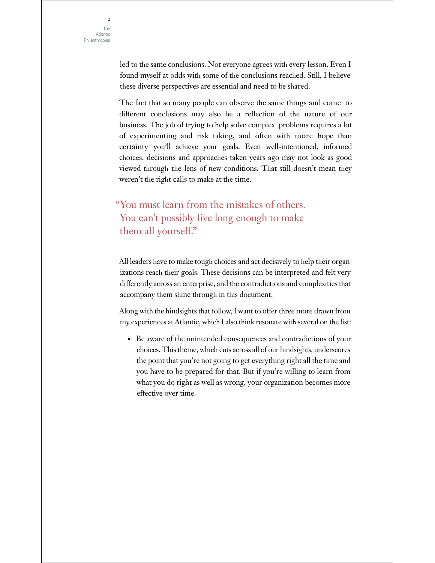led to the same conclusions. Not everyone agrees with every lesson. Even I found myself at odds with some of the conclusions reached. Still, I believe these diverse perspectives are essential and need to be shared.

The fact that so many people can observe the same things and come to different conclusions may also be a reflection of the nature of our business. The job of trying to help solve complex problems requires a lot of experimenting and risk taking, and often with more hope than certainty you'll achieve your goals. Even well-intentioned, informed choices, decisions and approaches taken years ago may not look as good viewed through the lens of new conditions. That still doesn't mean they weren't the right calls to make at the time.

## "You must learn from the mistakes of others. You can't possibly live long enough to make them all yourself."

All leaders have to make tough choices and act decisively to help their organizations reach their goals. These decisions can be interpreted and felt very differently across an enterprise, and the contradictions and complexities that accompany them shine through in this document.

Along with the hindsights that follow, I want to offer three more drawn from my experiences at Atlantic, which I also think resonate with several on the list:

• Be aware of the unintended consequences and contradictions of your choices. This theme, which cuts across all of our hindsights, underscores the point that you're not going to get everything right all the time and you have to be prepared for that. But if you're willing to learn from what you do right as well as wrong, your organization becomes more effective over time.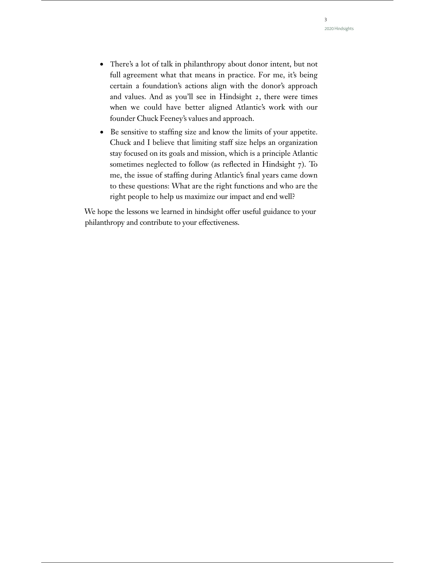- There's a lot of talk in philanthropy about donor intent, but not full agreement what that means in practice. For me, it's being certain a foundation's actions align with the donor's approach and values. And as you'll see in Hindsight 2, there were times when we could have better aligned Atlantic's work with our founder Chuck Feeney's values and approach.
- Be sensitive to staffing size and know the limits of your appetite. Chuck and I believe that limiting staff size helps an organization stay focused on its goals and mission, which is a principle Atlantic sometimes neglected to follow (as reflected in Hindsight 7). To me, the issue of staffing during Atlantic's final years came down to these questions: What are the right functions and who are the right people to help us maximize our impact and end well?

We hope the lessons we learned in hindsight offer useful guidance to your philanthropy and contribute to your effectiveness.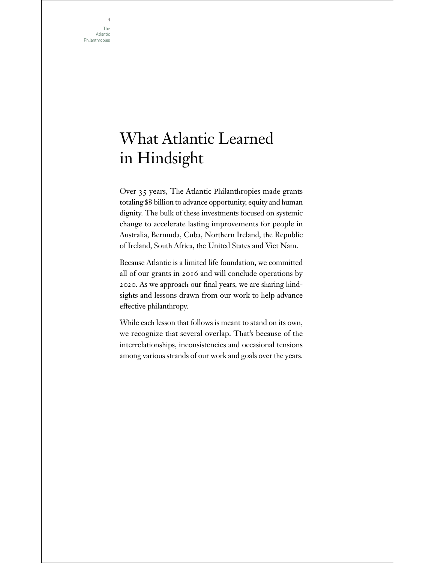The Atlantic Philanthropies

4

## What Atlantic Learned in Hindsight

Over 35 years, The Atlantic Philanthropies made grants totaling \$8 billion to advance opportunity, equity and human dignity. The bulk of these investments focused on systemic change to accelerate lasting improvements for people in Australia, Bermuda, Cuba, Northern Ireland, the Republic of Ireland, South Africa, the United States and Viet Nam.

Because Atlantic is a limited life foundation, we committed all of our grants in 2016 and will conclude operations by 2020. As we approach our final years, we are sharing hindsights and lessons drawn from our work to help advance effective philanthropy.

While each lesson that follows is meant to stand on its own, we recognize that several overlap. That's because of the interrelationships, inconsistencies and occasional tensions among various strands of our work and goals over the years.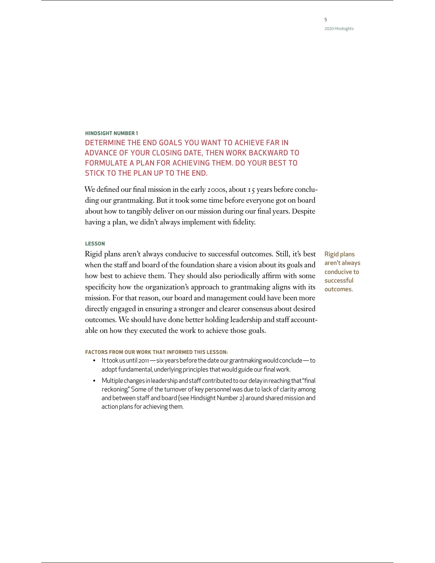## **HINDSIGHT NUMBER 1** DETERMINE THE END GOALS YOU WANT TO ACHIEVE FAR IN ADVANCE OF YOUR CLOSING DATE, THEN WORK BACKWARD TO FORMULATE A PLAN FOR ACHIEVING THEM. DO YOUR BEST TO STICK TO THE PLAN UP TO THE END.

We defined our final mission in the early 2000s, about 15 years before concluding our grantmaking. But it took some time before everyone got on board about how to tangibly deliver on our mission during our final years. Despite having a plan, we didn't always implement with fidelity.

#### **LESSON**

Rigid plans aren't always conducive to successful outcomes. Still, it's best when the staff and board of the foundation share a vision about its goals and how best to achieve them. They should also periodically affirm with some specificity how the organization's approach to grantmaking aligns with its mission. For that reason, our board and management could have been more directly engaged in ensuring a stronger and clearer consensus about desired outcomes. We should have done better holding leadership and staff accountable on how they executed the work to achieve those goals.

**FACTORS FROM OUR WORK THAT INFORMED THIS LESSON:**

- It took us until 2011 six years before the date our grantmaking would conclude to adopt fundamental, underlying principles that would guide our final work.
- Multiple changes in leadership and staff contributed to our delay in reaching that "final reckoning." Some of the turnover of key personnel was due to lack of clarity among and between staff and board (see Hindsight Number 2) around shared mission and action plans for achieving them.

Rigid plans aren't always conducive to successful outcomes.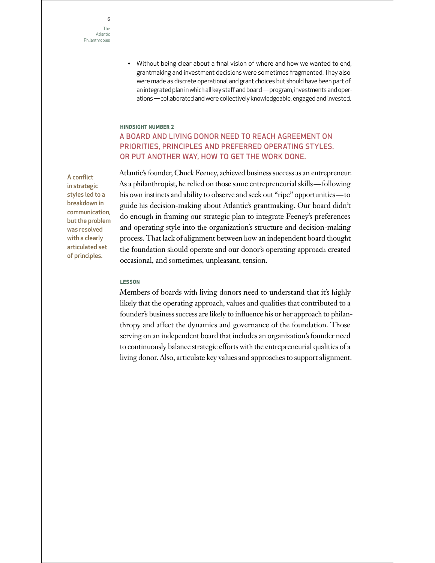• Without being clear about a final vision of where and how we wanted to end, grantmaking and investment decisions were sometimes fragmented. They also were made as discrete operational and grant choices but should have been part of an integrated plan in which all key staff and board—program, investments and operations—collaborated and were collectively knowledgeable, engaged and invested.

#### **HINDSIGHT NUMBER 2**

## A BOARD AND LIVING DONOR NEED TO REACH AGREEMENT ON PRIORITIES, PRINCIPLES AND PREFERRED OPERATING STYLES. OR PUT ANOTHER WAY, HOW TO GET THE WORK DONE.

Atlantic's founder, Chuck Feeney, achieved business success as an entrepreneur. As a philanthropist, he relied on those same entrepreneurial skills—following his own instincts and ability to observe and seek out "ripe" opportunities—to guide his decision-making about Atlantic's grantmaking. Our board didn't do enough in framing our strategic plan to integrate Feeney's preferences and operating style into the organization's structure and decision-making process. That lack of alignment between how an independent board thought the foundation should operate and our donor's operating approach created occasional, and sometimes, unpleasant, tension.

#### **LESSON**

Members of boards with living donors need to understand that it's highly likely that the operating approach, values and qualities that contributed to a founder's business success are likely to influence his or her approach to philanthropy and affect the dynamics and governance of the foundation. Those serving on an independent board that includes an organization's founder need to continuously balance strategic efforts with the entrepreneurial qualities of a living donor. Also, articulate key values and approaches to support alignment.

A conflict in strategic styles led to a breakdown in communication, but the problem was resolved with a clearly articulated set of principles.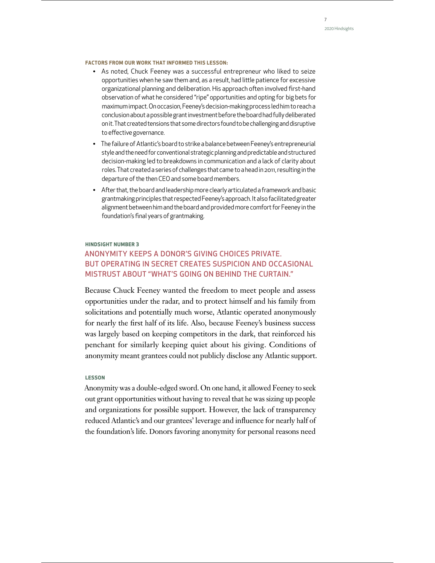#### **FACTORS FROM OUR WORK THAT INFORMED THIS LESSON:**

- As noted, Chuck Feeney was a successful entrepreneur who liked to seize opportunities when he saw them and, as a result, had litle patience for excessive organizational planning and deliberation. His approach often involved first-hand observation of what he considered "ripe" opportunities and opting for big bets for maximum impact. On occasion, Feeney's decision-making process led him to reach a conclusion about a possible grant investment before the board had fully deliberated on it. That created tensions that some directors found to be challenging and disruptive to effective governance.
- The failure of Atlantic's board to strike a balance between Feeney's entrepreneurial style and the need for conventional strategic planning and predictable and structured decision-making led to breakdowns in communication and a lack of clarity about roles. That created a series of challenges that came to a head in 2011, resulting in the departure of the then CEO and some board members.
- Afer that, the board and leadership more clearly articulated a framework and basic grantmaking principles that respected Feeney's approach. It also facilitated greater alignment between him and the board and provided more comfort for Feeney in the foundation's final years of grantmaking.

#### **HINDSIGHT NUMBER 3**

## ANONYMITY KEEPS A DONOR'S GIVING CHOICES PRIVATE. BUT OPERATING IN SECRET CREATES SUSPICION AND OCCASIONAL MISTRUST ABOUT "WHAT'S GOING ON BEHIND THE CURTAIN."

Because Chuck Feeney wanted the freedom to meet people and assess opportunities under the radar, and to protect himself and his family from solicitations and potentially much worse, Atlantic operated anonymously for nearly the first half of its life. Also, because Feeney's business success was largely based on keeping competitors in the dark, that reinforced his penchant for similarly keeping quiet about his giving. Conditions of anonymity meant grantees could not publicly disclose any Atlantic support.

#### **LESSON**

Anonymity was a double-edged sword. On one hand, it allowed Feeney to seek out grant opportunities without having to reveal that he was sizing up people and organizations for possible support. However, the lack of transparency reduced Atlantic's and our grantees' leverage and influence for nearly half of the foundation's life. Donors favoring anonymity for personal reasons need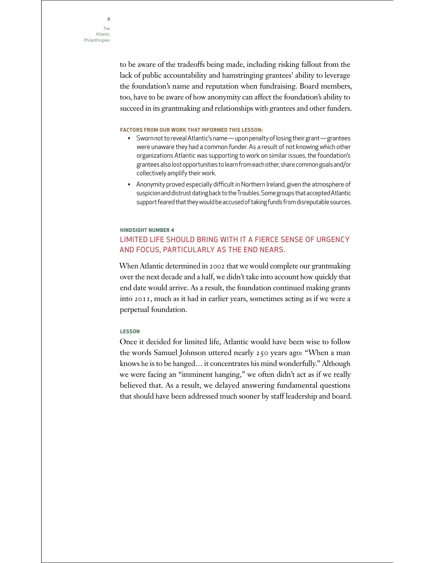to be aware of the tradeoffs being made, including risking fallout from the lack of public accountability and hamstringing grantees' ability to leverage the foundation's name and reputation when fundraising. Board members, too, have to be aware of how anonymity can affect the foundation's ability to succeed in its grantmaking and relationships with grantees and other funders.

#### **FACTORS FROM OUR WORK THAT INFORMED THIS LESSON:**

- Sworn not to reveal Atlantic's name upon penalty of losing their grant—grantees were unaware they had a common funder. As a result of not knowing which other organizations Atlantic was supporting to work on similar issues, the foundation's grantees also lost opportunities to learn from each other, share common goals and/or collectively amplify their work.
- Anonymity proved especially difficult in Northern Ireland, given the atmosphere of suspicion and distrust dating back to the Troubles. Some groups that accepted Atlantic support feared that they would be accused of taking funds from disreputable sources.

## **HINDSIGHT NUMBER 4** LIMITED LIFE SHOULD BRING WITH IT A FIERCE SENSE OF URGENCY AND FOCUS, PARTICULARLY AS THE END NEARS.

When Atlantic determined in 2002 that we would complete our grantmaking over the next decade and a half, we didn't take into account how quickly that end date would arrive. As a result, the foundation continued making grants into 2011, much as it had in earlier years, sometimes acting as if we were a perpetual foundation.

#### **LESSON**

Once it decided for limited life, Atlantic would have been wise to follow the words Samuel Johnson uttered nearly 250 years ago: "When a man knows he is to be hanged… it concentrates his mind wonderfully." Although we were facing an "imminent hanging," we often didn't act as if we really believed that. As a result, we delayed answering fundamental questions that should have been addressed much sooner by staff leadership and board.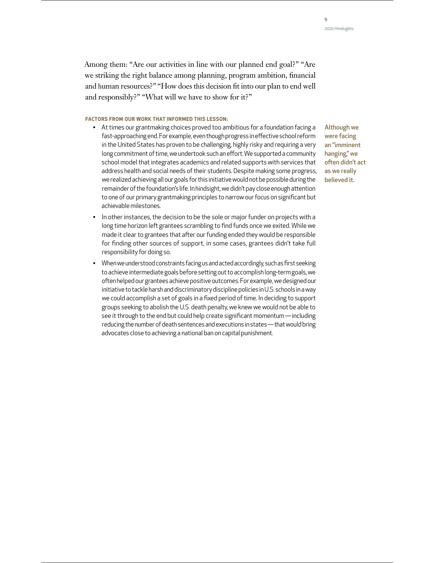Among them: "Are our activities in line with our planned end goal?" "Are we striking the right balance among planning, program ambition, financial and human resources?" "How does this decision fit into our plan to end well and responsibly?" "What will we have to show for it?"

#### **FACTORS FROM OUR WORK THAT INFORMED THIS LESSON:**

• At times our grantmaking choices proved too ambitious for a foundation facing a fast-approaching end. For example, even though progress in effective school reform in the United States has proven to be challenging, highly risky and requiring a very long commitment of time, we undertook such an effort. We supported a community school model that integrates academics and related supports with services that address health and social needs of their students. Despite making some progress, we realized achieving all our goals for this initiative would not be possible during the remainder of the foundation's life. In hindsight, we didn't pay close enough attention to one of our primary grantmaking principles to narrow our focus on significant but achievable milestones.

Although we were facing an "imminent hanging," we often didn't act as we really believed it.

- In other instances, the decision to be the sole or major funder on projects with a long time horizon left grantees scrambling to find funds once we exited. While we made it clear to grantees that after our funding ended they would be responsible for finding other sources of support, in some cases, grantees didn't take full responsibility for doing so.
- When we understood constraints facing us and acted accordingly, such as first seeking to achieve intermediate goals before seting out to accomplish long-term goals, we often helped our grantees achieve positive outcomes. For example, we designed our initiative to tackle harsh and discriminatory discipline policies in U.S. schools in a way we could accomplish a set of goals in a fixed period of time. In deciding to support groups seeking to abolish the U.S. death penalty, we knew we would not be able to see it through to the end but could help create significant momentum—including reducing the number of death sentences and executions in states—that would bring advocates close to achieving a national ban on capital punishment.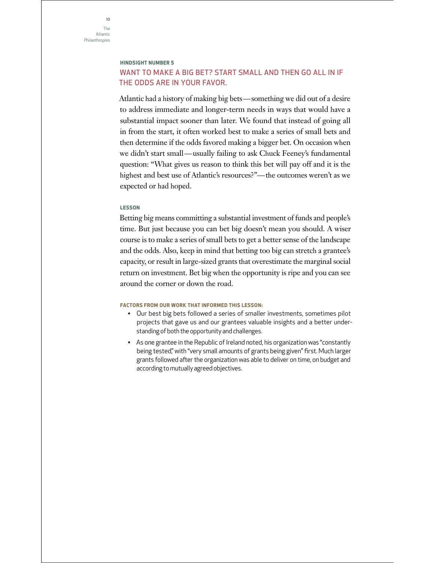### **HINDSIGHT NUMBER 5**

## WANT TO MAKE A BIG BET? START SMALL AND THEN GO ALL IN IF THE ODDS ARE IN YOUR FAVOR.

Atlantic had a history of making big bets—something we did out of a desire to address immediate and longer-term needs in ways that would have a substantial impact sooner than later. We found that instead of going all in from the start, it often worked best to make a series of small bets and then determine if the odds favored making a bigger bet. On occasion when we didn't start small—usually failing to ask Chuck Feeney's fundamental question: "What gives us reason to think this bet will pay off and it is the highest and best use of Atlantic's resources?"—the outcomes weren't as we expected or had hoped.

#### **LESSON**

Betting big means committing a substantial investment of funds and people's time. But just because you can bet big doesn't mean you should. A wiser course is to make a series of small bets to get a better sense of the landscape and the odds. Also, keep in mind that betting too big can stretch a grantee's capacity, or result in large-sized grants that overestimate the marginal social return on investment. Bet big when the opportunity is ripe and you can see around the corner or down the road.

- Our best big bets followed a series of smaller investments, sometimes pilot projects that gave us and our grantees valuable insights and a better understanding of both the opportunity and challenges.
- As one grantee in the Republic of Ireland noted, his organization was "constantly being tested," with "very small amounts of grants being given" first. Much larger grants followed after the organization was able to deliver on time, on budget and according to mutually agreed objectives.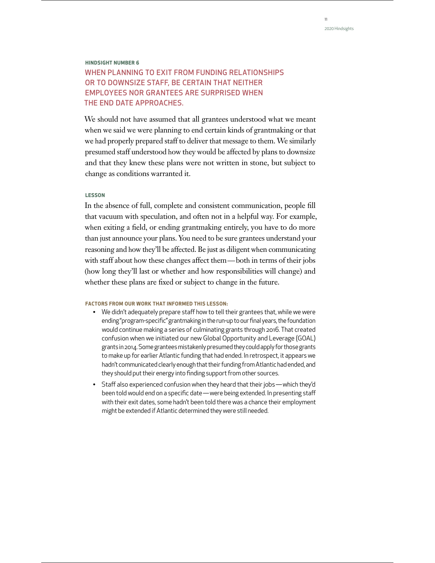## **HINDSIGHT NUMBER 6** WHEN PLANNING TO EXIT FROM FUNDING RELATIONSHIPS OR TO DOWNSIZE STAFF, BE CERTAIN THAT NEITHER EMPLOYEES NOR GRANTEES ARE SURPRISED WHEN THE END DATE APPROACHES.

We should not have assumed that all grantees understood what we meant when we said we were planning to end certain kinds of grantmaking or that we had properly prepared staff to deliver that message to them. We similarly presumed staff understood how they would be affected by plans to downsize and that they knew these plans were not written in stone, but subject to change as conditions warranted it.

#### **LESSON**

In the absence of full, complete and consistent communication, people fill that vacuum with speculation, and often not in a helpful way. For example, when exiting a field, or ending grantmaking entirely, you have to do more than just announce your plans. You need to be sure grantees understand your reasoning and how they'll be affected. Be just as diligent when communicating with staff about how these changes affect them—both in terms of their jobs (how long they'll last or whether and how responsibilities will change) and whether these plans are fixed or subject to change in the future.

- We didn't adequately prepare staff how to tell their grantees that, while we were ending "program-specific" grantmaking in the run-up to our final years, the foundation would continue making a series of culminating grants through 2016. That created confusion when we initiated our new Global Opportunity and Leverage (GOAL) grants in 2014. Some grantees mistakenly presumed they could apply for those grants to make up for earlier Atlantic funding that had ended. In retrospect, it appears we hadn't communicated clearly enough that their funding from Atlantic had ended, and they should put their energy into finding support from other sources.
- Staff also experienced confusion when they heard that their jobs—which they'd been told would end on a specific date—were being extended. In presenting staff with their exit dates, some hadn't been told there was a chance their employment might be extended if Atlantic determined they were still needed.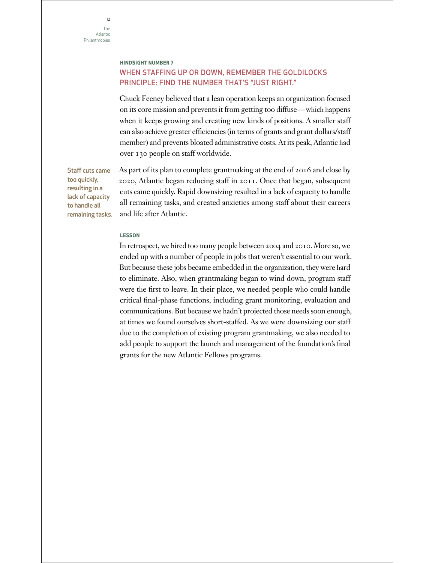Staff cuts came too quickly, resulting in a lack of capacity to handle all

## **HINDSIGHT NUMBER 7** WHEN STAFFING UP OR DOWN, REMEMBER THE GOLDILOCKS PRINCIPLE: FIND THE NUMBER THAT'S "JUST RIGHT."

Chuck Feeney believed that a lean operation keeps an organization focused on its core mission and prevents it from getting too diffuse—which happens when it keeps growing and creating new kinds of positions. A smaller staff can also achieve greater efficiencies (in terms of grants and grant dollars/staff member) and prevents bloated administrative costs. At its peak, Atlantic had over 130 people on staff worldwide.

As part of its plan to complete grantmaking at the end of 2016 and close by 2020, Atlantic began reducing staff in 2011. Once that began, subsequent cuts came quickly. Rapid downsizing resulted in a lack of capacity to handle all remaining tasks, and created anxieties among staff about their careers and life after Atlantic. remaining tasks.

**LESSON** 

In retrospect, we hired too many people between 2004 and 2010. More so, we ended up with a number of people in jobs that weren't essential to our work. But because these jobs became embedded in the organization, they were hard to eliminate. Also, when grantmaking began to wind down, program staff were the first to leave. In their place, we needed people who could handle critical final-phase functions, including grant monitoring, evaluation and communications. But because we hadn't projected those needs soon enough, at times we found ourselves short-staffed. As we were downsizing our staff due to the completion of existing program grantmaking, we also needed to add people to support the launch and management of the foundation's final grants for the new Atlantic Fellows programs.

 $12$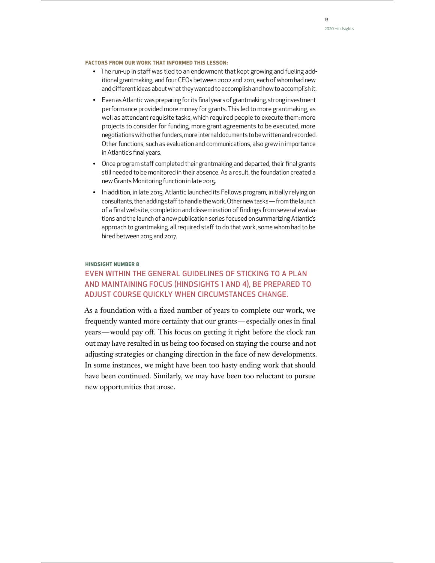#### **FACTORS FROM OUR WORK THAT INFORMED THIS LESSON:**

- The run-up in staff was tied to an endowment that kept growing and fueling additional grantmaking, and four CEOs between 2002 and 2011, each of whom had new and different ideas about what they wanted to accomplish and how to accomplish it.
- Even as Atlantic was preparing for its final years of grantmaking, strong investment performance provided more money for grants. This led to more grantmaking, as well as attendant requisite tasks, which required people to execute them: more projects to consider for funding, more grant agreements to be executed, more negotiations with other funders, more internal documents to be writen and recorded. Other functions, such as evaluation and communications, also grew in importance in Atlantic's final years.
- Once program staff completed their grantmaking and departed, their final grants still needed to be monitored in their absence. As a result, the foundation created a new Grants Monitoring function in late 2015.
- In addition, in late 2015, Atlantic launched its Fellows program, initially relying on consultants, then adding staff to handle the work. Other new tasks—from the launch of a final website, completion and dissemination of findings from several evaluations and the launch of a new publication series focused on summarizing Atlantic's approach to grantmaking, all required staff to do that work, some whom had to be hired between 2015 and 2017.

#### **HINDSIGHT NUMBER 8**

## EVEN WITHIN THE GENERAL GUIDELINES OF STICKING TO A PLAN AND MAINTAINING FOCUS (HINDSIGHTS 1 AND 4), BE PREPARED TO ADJUST COURSE QUICKLY WHEN CIRCUMSTANCES CHANGE.

As a foundation with a fixed number of years to complete our work, we frequently wanted more certainty that our grants—especially ones in final years—would pay off. This focus on getting it right before the clock ran out may have resulted in us being too focused on staying the course and not adjusting strategies or changing direction in the face of new developments. In some instances, we might have been too hasty ending work that should have been continued. Similarly, we may have been too reluctant to pursue new opportunities that arose.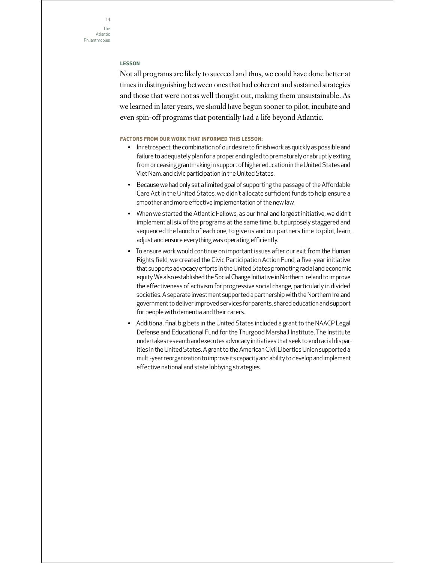#### **LESSON**

Not all programs are likely to succeed and thus, we could have done better at times in distinguishing between ones that had coherent and sustained strategies and those that were not as well thought out, making them unsustainable. As we learned in later years, we should have begun sooner to pilot, incubate and even spin-off programs that potentially had a life beyond Atlantic.

- In retrospect, the combination of our desire to finish work as quickly as possible and failure to adequately plan for a proper ending led to prematurely or abruptly exiting from or ceasing grantmaking in support of higher education in the United States and Viet Nam, and civic participation in the United States.
- Because we had only set a limited goal of supporting the passage of the Affordable Care Act in the United States, we didn't allocate sufficient funds to help ensure a smoother and more effective implementation of the new law.
- When we started the Atlantic Fellows, as our final and largest initiative, we didn't implement all six of the programs at the same time, but purposely staggered and sequenced the launch of each one, to give us and our partners time to pilot, learn, adjust and ensure everything was operating efficiently.
- To ensure work would continue on important issues after our exit from the Human Rights field, we created the Civic Participation Action Fund, a five-year initiative that supports advocacy efforts in the United States promoting racial and economic equity. We also established the Social Change Initiative in Northern Ireland to improve the effectiveness of activism for progressive social change, particularly in divided societies. A separate investment supported a partnership with the Northern Ireland government to deliver improved services for parents, shared education and support for people with dementia and their carers.
- Additional final big bets in the United States included a grant to the NAACP Legal Defense and Educational Fund for the Thurgood Marshall Institute. The Institute undertakes research and executes advocacy initiatives that seek to end racial disparities in the United States. A grant to the American Civil Liberties Union supported a multi-year reorganization to improve its capacity and ability to develop and implement effective national and state lobbying strategies.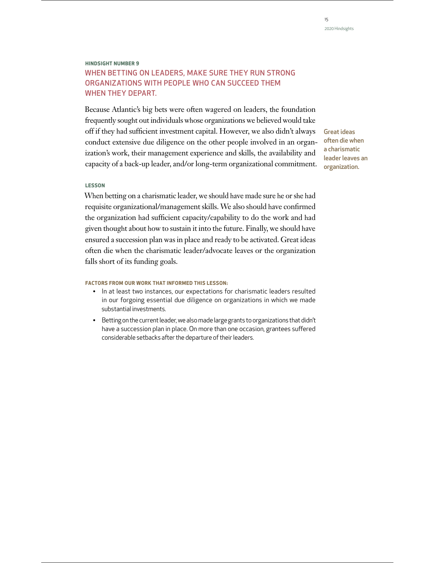## **HINDSIGHT NUMBER 9** WHEN BETTING ON LEADERS, MAKE SURE THEY RUN STRONG ORGANIZATIONS WITH PEOPLE WHO CAN SUCCEED THEM WHEN THEY DEPART.

Because Atlantic's big bets were often wagered on leaders, the foundation frequently sought out individuals whose organizations we believed would take off if they had sufficient investment capital. However, we also didn't always conduct extensive due diligence on the other people involved in an organization's work, their management experience and skills, the availability and capacity of a back-up leader, and/or long-term organizational commitment.

Great ideas often die when a charismatic leader leaves an organization.

#### **LESSON**

When betting on a charismatic leader, we should have made sure he or she had requisite organizational/management skills. We also should have confirmed the organization had sufficient capacity/capability to do the work and had given thought about how to sustain it into the future. Finally, we should have ensured a succession plan was in place and ready to be activated. Great ideas often die when the charismatic leader/advocate leaves or the organization falls short of its funding goals.

- In at least two instances, our expectations for charismatic leaders resulted in our forgoing essential due diligence on organizations in which we made substantial investments.
- Beting on the current leader, we also made large grants to organizations that didn't have a succession plan in place. On more than one occasion, grantees suffered considerable setbacks after the departure of their leaders.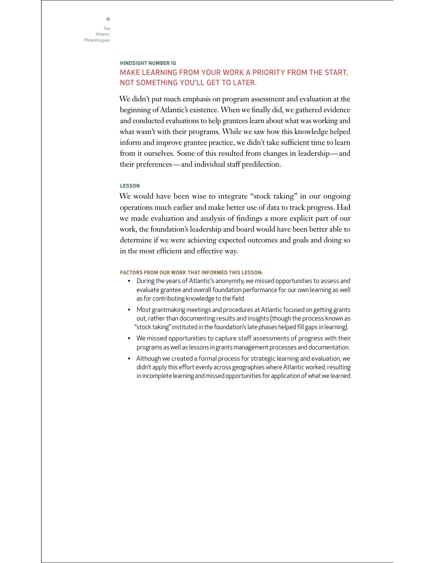### **HINDSIGHT NUMBER 10**

## MAKE LEARNING FROM YOUR WORK A PRIORITY FROM THE START, NOT SOMETHING YOU'LL GET TO LATER.

We didn't put much emphasis on program assessment and evaluation at the beginning of Atlantic's existence. When we finally did, we gathered evidence and conducted evaluations to help grantees learn about what was working and what wasn't with their programs. While we saw how this knowledge helped inform and improve grantee practice, we didn't take sufficient time to learn from it ourselves. Some of this resulted from changes in leadership—and their preferences—and individual staff predilection.

#### **LESSON**

We would have been wise to integrate "stock taking" in our ongoing operations much earlier and make better use of data to track progress. Had we made evaluation and analysis of findings a more explicit part of our work, the foundation's leadership and board would have been better able to determine if we were achieving expected outcomes and goals and doing so in the most efficient and effective way.

- During the years of Atlantic's anonymity, we missed opportunities to assess and evaluate grantee and overall foundation performance for our own learning as well as for contributing knowledge to the field.
- Most grantmaking meetings and procedures at Atlantic focused on getting grants out, rather than documenting results and insights (though the process known as "stock taking" instituted in the foundation's late phases helped fill gaps in learning).
- We missed opportunities to capture staff assessments of progress with their programs as well as lessons in grants management processes and documentation.
- Although we created a formal process for strategic learning and evaluation, we didn't apply this effort evenly across geographies where Atlantic worked, resulting in incomplete learning and missed opportunities for application of what we learned.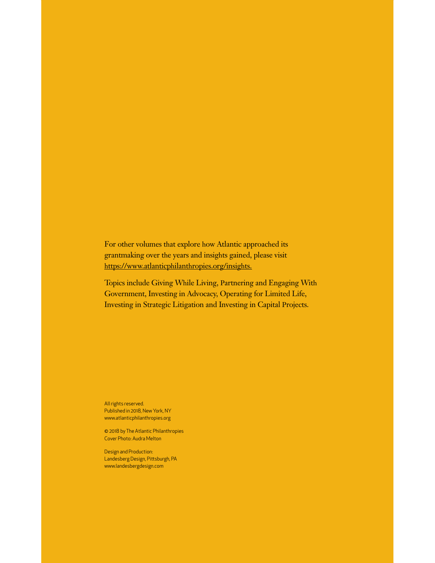For other volumes that explore how Atlantic approached its grantmaking over the years and insights gained, please visit https://www.atlanticphilanthropies.org/insights.

Topics include Giving While Living, Partnering and Engaging With Government, Investing in Advocacy, Operating for Limited Life, Investing in Strategic Litigation and Investing in Capital Projects.

All rights reserved. Published in 2018, New York, NY www.atlanticphilanthropies.org

© 2018 by The Atlantic Philanthropies Cover Photo: Audra Melton

Design and Production: Landesberg Design, Pitsburgh, PA www.landesbergdesign.com